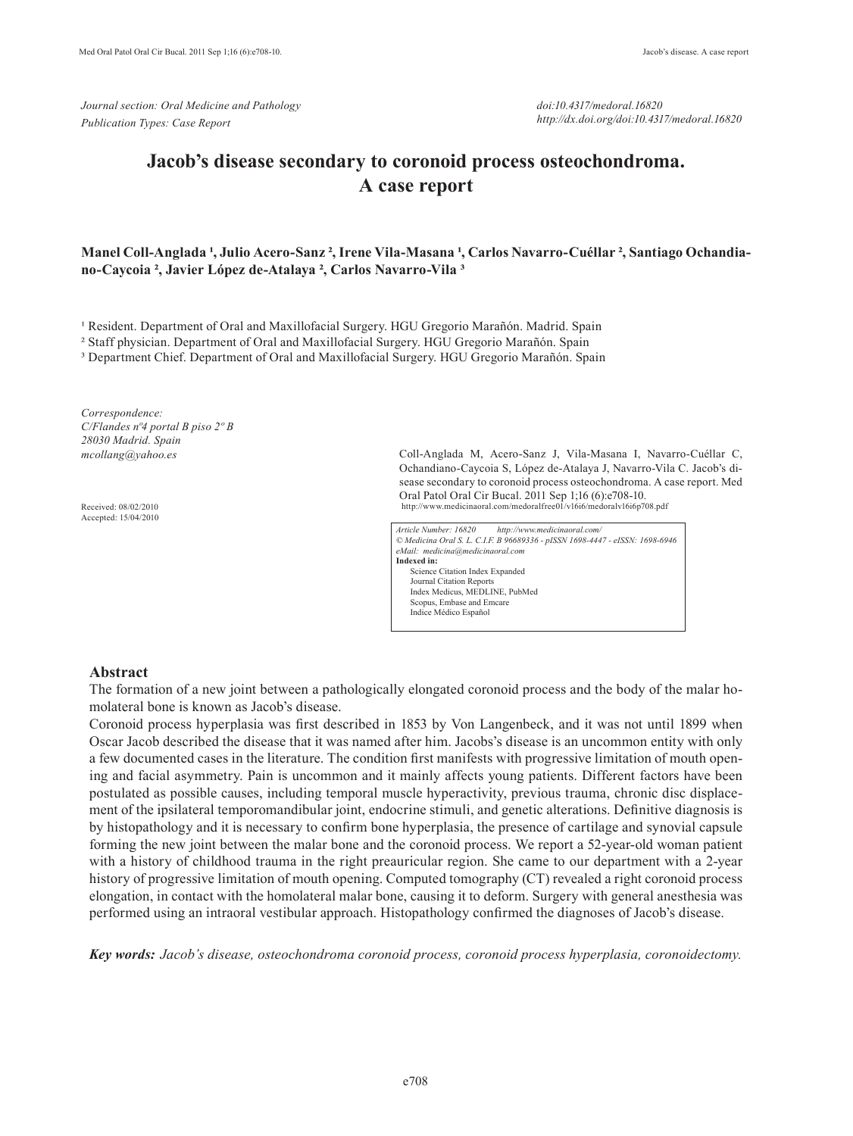*Journal section: Oral Medicine and Pathology Publication Types: Case Report*

*doi:10.4317/medoral.16820 http://dx.doi.org/doi:10.4317/medoral.16820*

# **Jacob's disease secondary to coronoid process osteochondroma. A case report**

#### Manel Coll-Anglada <sup>1</sup>, Julio Acero-Sanz<sup>2</sup>, Irene Vila-Masana <sup>1</sup>, Carlos Navarro-Cuéllar <sup>2</sup>, Santiago Ochandia**no-Caycoia ², Javier López de-Atalaya ², Carlos Navarro-Vila ³**

<sup>1</sup> Resident. Department of Oral and Maxillofacial Surgery. HGU Gregorio Marañón. Madrid. Spain

² Staff physician. Department of Oral and Maxillofacial Surgery. HGU Gregorio Marañón. Spain

³ Department Chief. Department of Oral and Maxillofacial Surgery. HGU Gregorio Marañón. Spain

*Correspondence: C/Flandes nº4 portal B piso 2º B 28030 Madrid. Spain mcollang@yahoo.es*

Received: 08/02/2010 Accepted: 15/04/2010 Coll-Anglada M, Acero-Sanz J, Vila-Masana I, Navarro-Cuéllar C, Ochandiano-Caycoia S, López de-Atalaya J, Navarro-Vila C. Jacob's disease secondary to coronoid process osteochondroma. A case report. Med Oral Patol Oral Cir Bucal. 2011 Sep 1;16 (6):e708-10. http://www.medicinaoral.com/medoralfree01/v16i6/medoralv16i6p708.pdf

*Article Number: 16820 http://www.medicinaoral.com/ © Medicina Oral S. L. C.I.F. B 96689336 - pISSN 1698-4447 - eISSN: 1698-6946 eMail: medicina@medicinaoral.com*  **Indexed in:**  Science Citation Index Expanded Journal Citation Reports Index Medicus, MEDLINE, PubMed Scopus, Embase and Emcare Indice Médico Español

#### **Abstract**

The formation of a new joint between a pathologically elongated coronoid process and the body of the malar homolateral bone is known as Jacob's disease.

Coronoid process hyperplasia was first described in 1853 by Von Langenbeck, and it was not until 1899 when Oscar Jacob described the disease that it was named after him. Jacobs's disease is an uncommon entity with only a few documented cases in the literature. The condition first manifests with progressive limitation of mouth opening and facial asymmetry. Pain is uncommon and it mainly affects young patients. Different factors have been postulated as possible causes, including temporal muscle hyperactivity, previous trauma, chronic disc displacement of the ipsilateral temporomandibular joint, endocrine stimuli, and genetic alterations. Definitive diagnosis is by histopathology and it is necessary to confirm bone hyperplasia, the presence of cartilage and synovial capsule forming the new joint between the malar bone and the coronoid process. We report a 52-year-old woman patient with a history of childhood trauma in the right preauricular region. She came to our department with a 2-year history of progressive limitation of mouth opening. Computed tomography (CT) revealed a right coronoid process elongation, in contact with the homolateral malar bone, causing it to deform. Surgery with general anesthesia was performed using an intraoral vestibular approach. Histopathology confirmed the diagnoses of Jacob's disease.

*Key words: Jacob's disease, osteochondroma coronoid process, coronoid process hyperplasia, coronoidectomy.*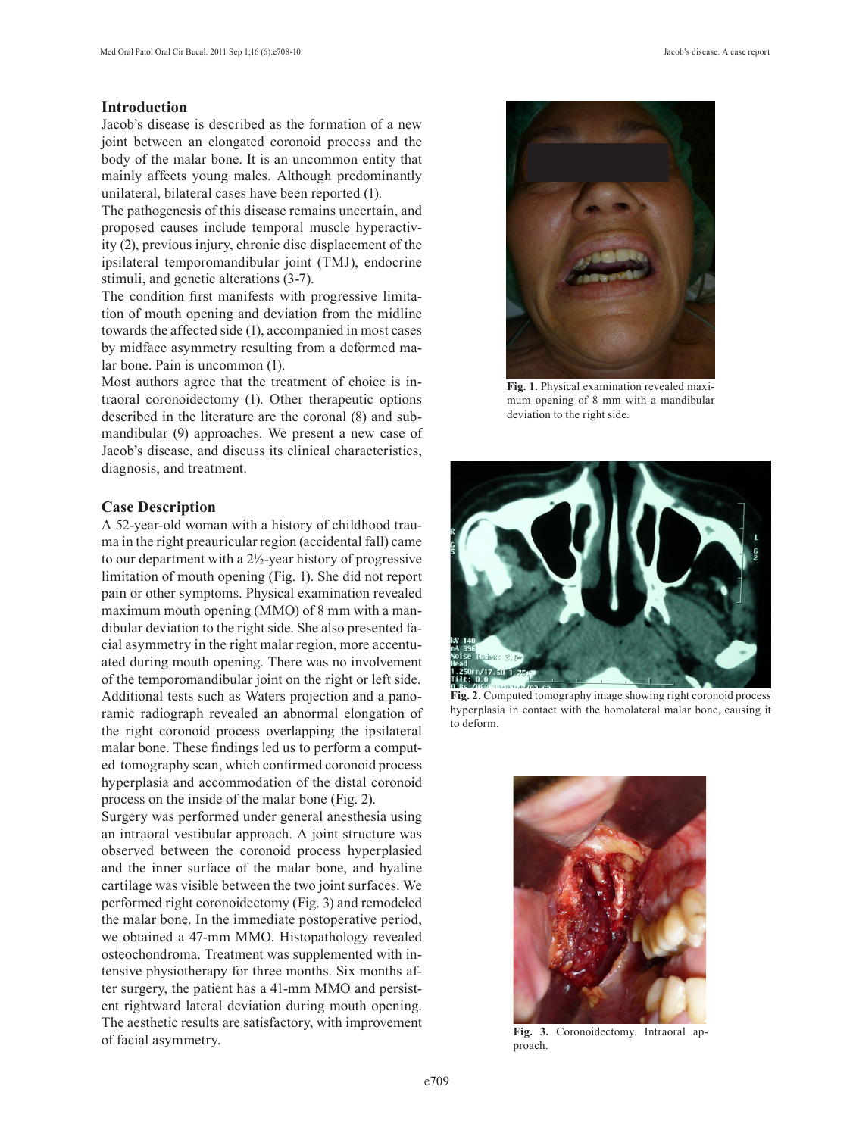# **Introduction**

Jacob's disease is described as the formation of a new joint between an elongated coronoid process and the body of the malar bone. It is an uncommon entity that mainly affects young males. Although predominantly unilateral, bilateral cases have been reported (1).

The pathogenesis of this disease remains uncertain, and proposed causes include temporal muscle hyperactivity (2), previous injury, chronic disc displacement of the ipsilateral temporomandibular joint (TMJ), endocrine stimuli, and genetic alterations (3-7).

The condition first manifests with progressive limitation of mouth opening and deviation from the midline towards the affected side (1), accompanied in most cases by midface asymmetry resulting from a deformed malar bone. Pain is uncommon (1).

Most authors agree that the treatment of choice is intraoral coronoidectomy (1). Other therapeutic options described in the literature are the coronal (8) and submandibular (9) approaches. We present a new case of Jacob's disease, and discuss its clinical characteristics, diagnosis, and treatment.

## **Case Description**

A 52-year-old woman with a history of childhood trauma in the right preauricular region (accidental fall) came to our department with a 2½-year history of progressive limitation of mouth opening (Fig. 1). She did not report pain or other symptoms. Physical examination revealed maximum mouth opening (MMO) of 8 mm with a mandibular deviation to the right side. She also presented facial asymmetry in the right malar region, more accentuated during mouth opening. There was no involvement of the temporomandibular joint on the right or left side. Additional tests such as Waters projection and a panoramic radiograph revealed an abnormal elongation of the right coronoid process overlapping the ipsilateral malar bone. These findings led us to perform a computed tomography scan, which confirmed coronoid process hyperplasia and accommodation of the distal coronoid process on the inside of the malar bone (Fig. 2).

Surgery was performed under general anesthesia using an intraoral vestibular approach. A joint structure was observed between the coronoid process hyperplasied and the inner surface of the malar bone, and hyaline cartilage was visible between the two joint surfaces. We performed right coronoidectomy (Fig. 3) and remodeled the malar bone. In the immediate postoperative period, we obtained a 47-mm MMO. Histopathology revealed osteochondroma. Treatment was supplemented with intensive physiotherapy for three months. Six months after surgery, the patient has a 41-mm MMO and persistent rightward lateral deviation during mouth opening. The aesthetic results are satisfactory, with improvement of facial asymmetry.



**Fig. 1.** Physical examination revealed maximum opening of 8 mm with a mandibular deviation to the right side.



**Fig. 2.** Computed tomography image showing right coronoid process hyperplasia in contact with the homolateral malar bone, causing it to deform.



**Fig. 3.** Coronoidectomy. Intraoral approach.